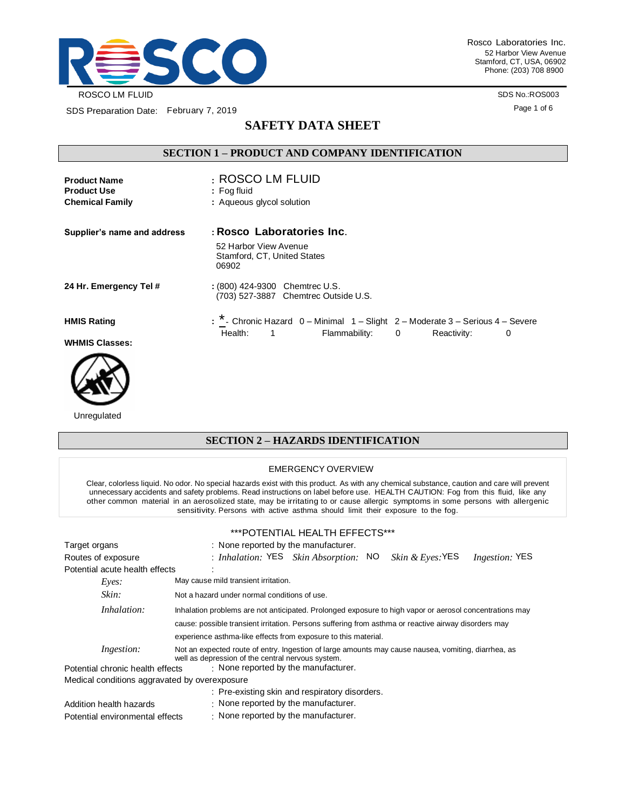

Rosco Laboratories Inc. 52 Harbor View Avenue Stamford, CT, USA, 06902 Phone: (203) 708 8900

> SDS No.:ROS003 Page 1 of 6

SDS Preparation Date: February 7, 2019

# **SAFETY DATA SHEET**

## **SECTION 1 – PRODUCT AND COMPANY IDENTIFICATION**

| <b>Product Name</b><br><b>Product Use</b> | : ROSCO LM FLUID<br>$:$ Fog fluid                                               |
|-------------------------------------------|---------------------------------------------------------------------------------|
| <b>Chemical Family</b>                    | : Aqueous glycol solution                                                       |
| Supplier's name and address               | : Rosco Laboratories Inc.                                                       |
|                                           | 52 Harbor View Avenue<br>Stamford, CT, United States<br>06902                   |
| 24 Hr. Emergency Tel #                    | : (800) 424-9300 Chemtrec U.S.<br>(703) 527-3887 Chemtrec Outside U.S.          |
| <b>HMIS Rating</b>                        | : * - Chronic Hazard 0 - Minimal 1 - Slight 2 - Moderate 3 - Serious 4 - Severe |
| <b>WHMIS Classes:</b>                     | Flammability: 0<br>Health: 1<br>Reactivity:<br>0                                |



Unregulated

## **SECTION 2 – HAZARDS IDENTIFICATION**

#### EMERGENCY OVERVIEW

Clear, colorless liquid. No odor. No special hazards exist with this product. As with any chemical substance, caution and care will prevent unnecessary accidents and safety problems. Read instructions on label before use. HEALTH CAUTION: Fog from this fluid, like any other common material in an aerosolized state, may be irritating to or cause allergic symptoms in some persons with allergenic sensitivity. Persons with active asthma should limit their exposure to the fog.

#### \*\*\*POTENTIAL HEALTH EFFECTS\*\*\*

| Target organs                                 | : None reported by the manufacturer.                                                                                                                     |  |  |  |
|-----------------------------------------------|----------------------------------------------------------------------------------------------------------------------------------------------------------|--|--|--|
| Routes of exposure                            | : Inhalation: YES Skin Absorption: NO<br>Skin & Eyes: YES<br><i>Ingestion:</i> YES                                                                       |  |  |  |
| Potential acute health effects                |                                                                                                                                                          |  |  |  |
| Eves:                                         | May cause mild transient irritation.                                                                                                                     |  |  |  |
| Skin:                                         | Not a hazard under normal conditions of use.                                                                                                             |  |  |  |
| Inhalation:                                   | Inhalation problems are not anticipated. Prolonged exposure to high vapor or aerosol concentrations may                                                  |  |  |  |
|                                               | cause: possible transient irritation. Persons suffering from asthma or reactive airway disorders may                                                     |  |  |  |
|                                               | experience asthma-like effects from exposure to this material.                                                                                           |  |  |  |
| Ingestion:                                    | Not an expected route of entry. Ingestion of large amounts may cause nausea, vomiting, diarrhea, as<br>well as depression of the central nervous system. |  |  |  |
| Potential chronic health effects              | $\cdot$ None reported by the manufacturer.                                                                                                               |  |  |  |
| Medical conditions aggravated by overexposure |                                                                                                                                                          |  |  |  |
|                                               | : Pre-existing skin and respiratory disorders.                                                                                                           |  |  |  |
| Addition health hazards                       | : None reported by the manufacturer.                                                                                                                     |  |  |  |
| Potential environmental effects               | : None reported by the manufacturer.                                                                                                                     |  |  |  |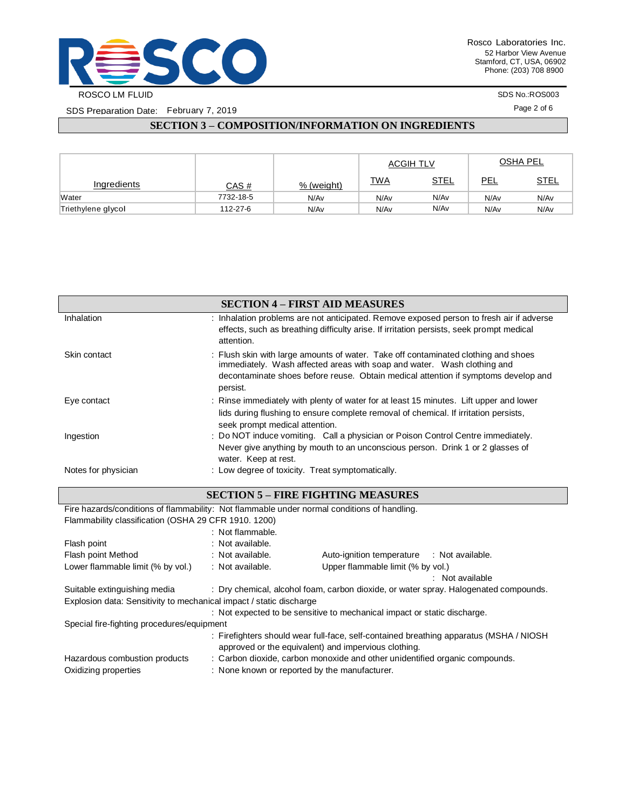

SDS Preparation Date: February 7, 2019

SDS No.:ROS003

Page 2 of 6

# **SECTION 3 – COMPOSITION/INFORMATION ON INGREDIENTS**

|                    |              |            | <b>ACGIH TLV</b> |             | <b>OSHA PEL</b> |             |
|--------------------|--------------|------------|------------------|-------------|-----------------|-------------|
| Ingredients        | <u>CAS #</u> | % (weight) | <u>TWA</u>       | <u>STEL</u> | PEL             | <u>STEL</u> |
| Water              | 7732-18-5    | N/Av       | N/Av             | N/Av        | N/Av            | N/Av        |
| Triethylene glycol | 112-27-6     | N/Av       | N/Av             | N/Av        | N/Av            | N/Av        |

|                     | <b>SECTION 4 - FIRST AID MEASURES</b>                                                                                                                                                                                                                           |
|---------------------|-----------------------------------------------------------------------------------------------------------------------------------------------------------------------------------------------------------------------------------------------------------------|
| Inhalation          | : Inhalation problems are not anticipated. Remove exposed person to fresh air if adverse<br>effects, such as breathing difficulty arise. If irritation persists, seek prompt medical<br>attention.                                                              |
| Skin contact        | : Flush skin with large amounts of water. Take off contaminated clothing and shoes<br>immediately. Wash affected areas with soap and water. Wash clothing and<br>decontaminate shoes before reuse. Obtain medical attention if symptoms develop and<br>persist. |
| Eye contact         | : Rinse immediately with plenty of water for at least 15 minutes. Lift upper and lower<br>lids during flushing to ensure complete removal of chemical. If irritation persists,<br>seek prompt medical attention.                                                |
| Ingestion           | : Do NOT induce vomiting. Call a physician or Poison Control Centre immediately.<br>Never give anything by mouth to an unconscious person. Drink 1 or 2 glasses of<br>water. Keep at rest.                                                                      |
| Notes for physician | : Low degree of toxicity. Treat symptomatically.                                                                                                                                                                                                                |

### **SECTION 5 – FIRE FIGHTING MEASURES**

| Fire hazards/conditions of flammability: Not flammable under normal conditions of handling.                                                    |                                                                          |                                                                                      |  |  |  |
|------------------------------------------------------------------------------------------------------------------------------------------------|--------------------------------------------------------------------------|--------------------------------------------------------------------------------------|--|--|--|
| Flammability classification (OSHA 29 CFR 1910, 1200)                                                                                           |                                                                          |                                                                                      |  |  |  |
|                                                                                                                                                | : Not flammable.                                                         |                                                                                      |  |  |  |
| Flash point                                                                                                                                    | : Not available.                                                         |                                                                                      |  |  |  |
| Flash point Method                                                                                                                             | : Not available.                                                         | Auto-ignition temperature : Not available.                                           |  |  |  |
| Lower flammable limit (% by vol.)                                                                                                              | : Not available.                                                         | Upper flammable limit (% by vol.)                                                    |  |  |  |
|                                                                                                                                                |                                                                          | : Not available                                                                      |  |  |  |
| Suitable extinguishing media                                                                                                                   |                                                                          | : Dry chemical, alcohol foam, carbon dioxide, or water spray. Halogenated compounds. |  |  |  |
| Explosion data: Sensitivity to mechanical impact / static discharge                                                                            |                                                                          |                                                                                      |  |  |  |
|                                                                                                                                                | : Not expected to be sensitive to mechanical impact or static discharge. |                                                                                      |  |  |  |
| Special fire-fighting procedures/equipment                                                                                                     |                                                                          |                                                                                      |  |  |  |
| : Firefighters should wear full-face, self-contained breathing apparatus (MSHA / NIOSH<br>approved or the equivalent) and impervious clothing. |                                                                          |                                                                                      |  |  |  |
| Hazardous combustion products                                                                                                                  |                                                                          | : Carbon dioxide, carbon monoxide and other unidentified organic compounds.          |  |  |  |
| Oxidizing properties                                                                                                                           | : None known or reported by the manufacturer.                            |                                                                                      |  |  |  |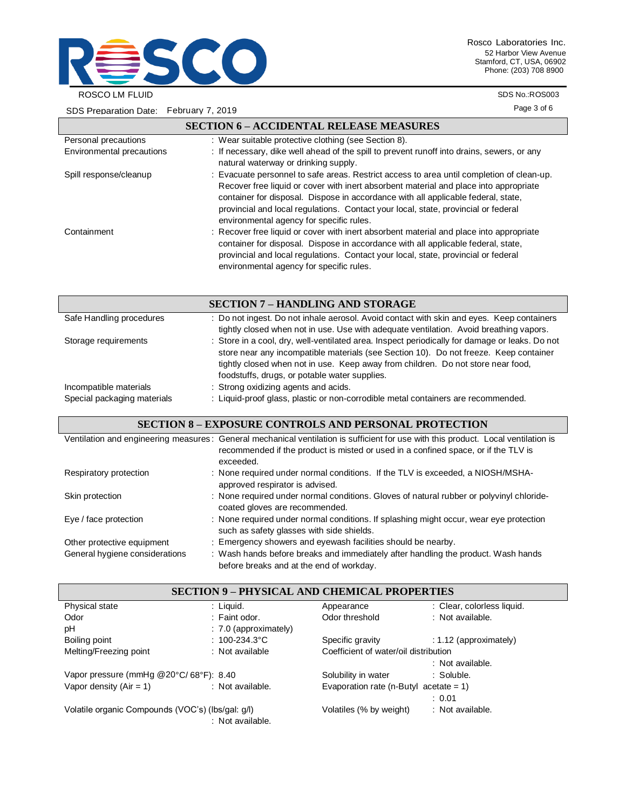

SDS Preparation Date: February 7, 2019

 $\mathsf{l}$ 

Rosco Laboratories Inc. 52 Harbor View Avenue Stamford, CT, USA, 06902 Phone: (203) 708 8900

SDS No.:ROS003

Page 3 of 6

|                           | <b>SECTION 6 – ACCIDENTAL RELEASE MEASURES</b>                                                                                                                                                                                                                                                                                                                                                            |
|---------------------------|-----------------------------------------------------------------------------------------------------------------------------------------------------------------------------------------------------------------------------------------------------------------------------------------------------------------------------------------------------------------------------------------------------------|
| Personal precautions      | : Wear suitable protective clothing (see Section 8).                                                                                                                                                                                                                                                                                                                                                      |
| Environmental precautions | : If necessary, dike well ahead of the spill to prevent runoff into drains, sewers, or any<br>natural waterway or drinking supply.                                                                                                                                                                                                                                                                        |
| Spill response/cleanup    | : Evacuate personnel to safe areas. Restrict access to area until completion of clean-up.<br>Recover free liquid or cover with inert absorbent material and place into appropriate<br>container for disposal. Dispose in accordance with all applicable federal, state,<br>provincial and local regulations. Contact your local, state, provincial or federal<br>environmental agency for specific rules. |
| Containment               | : Recover free liquid or cover with inert absorbent material and place into appropriate<br>container for disposal. Dispose in accordance with all applicable federal, state,<br>provincial and local regulations. Contact your local, state, provincial or federal<br>environmental agency for specific rules.                                                                                            |
|                           | <b>SECTION 7 - HANDLING AND STORAGE</b>                                                                                                                                                                                                                                                                                                                                                                   |
|                           | $\blacksquare$ . The contract $\blacksquare$ . The contract of $\blacksquare$ . The contract of the contract of $\blacksquare$ . The contract of $\blacksquare$                                                                                                                                                                                                                                           |

| Safe Handling procedures    | : Do not ingest. Do not inhale aerosol. Avoid contact with skin and eyes. Keep containers<br>tightly closed when not in use. Use with adequate ventilation. Avoid breathing vapors.                                                                                                                                          |
|-----------------------------|------------------------------------------------------------------------------------------------------------------------------------------------------------------------------------------------------------------------------------------------------------------------------------------------------------------------------|
| Storage requirements        | : Store in a cool, dry, well-ventilated area. Inspect periodically for damage or leaks. Do not<br>store near any incompatible materials (see Section 10). Do not freeze. Keep container<br>tightly closed when not in use. Keep away from children. Do not store near food,<br>foodstuffs, drugs, or potable water supplies. |
| Incompatible materials      | : Strong oxidizing agents and acids.                                                                                                                                                                                                                                                                                         |
| Special packaging materials | : Liquid-proof glass, plastic or non-corrodible metal containers are recommended.                                                                                                                                                                                                                                            |

### **SECTION 8 – EXPOSURE CONTROLS AND PERSONAL PROTECTION**

|                                | Ventilation and engineering measures: General mechanical ventilation is sufficient for use with this product. Local ventilation is<br>recommended if the product is misted or used in a confined space, or if the TLV is<br>exceeded. |
|--------------------------------|---------------------------------------------------------------------------------------------------------------------------------------------------------------------------------------------------------------------------------------|
| Respiratory protection         | : None required under normal conditions. If the TLV is exceeded, a NIOSH/MSHA-<br>approved respirator is advised.                                                                                                                     |
| Skin protection                | : None required under normal conditions. Gloves of natural rubber or polyvinyl chloride-<br>coated gloves are recommended.                                                                                                            |
| Eye / face protection          | : None required under normal conditions. If splashing might occur, wear eye protection<br>such as safety glasses with side shields.                                                                                                   |
| Other protective equipment     | : Emergency showers and eyewash facilities should be nearby.                                                                                                                                                                          |
| General hygiene considerations | : Wash hands before breaks and immediately after handling the product. Wash hands<br>before breaks and at the end of workday.                                                                                                         |

| <b>SECTION 9 - PHYSICAL AND CHEMICAL PROPERTIES</b> |                         |                                           |                            |  |
|-----------------------------------------------------|-------------------------|-------------------------------------------|----------------------------|--|
| Physical state                                      | : Liquid.               | Appearance                                | : Clear, colorless liquid. |  |
| Odor                                                | $:$ Faint odor.         | Odor threshold                            | : Not available.           |  |
| рH                                                  | $: 7.0$ (approximately) |                                           |                            |  |
| Boiling point                                       | : $100 - 234.3$ °C      | Specific gravity                          | $: 1.12$ (approximately)   |  |
| Melting/Freezing point                              | : Not available         | Coefficient of water/oil distribution     |                            |  |
|                                                     |                         |                                           | : Not available.           |  |
| Vapor pressure (mmHg @20°C/68°F): 8.40              |                         | Solubility in water                       | : Soluble.                 |  |
| Vapor density $(Air = 1)$                           | : Not available.        | Evaporation rate (n-Butyl acetate = $1$ ) |                            |  |
|                                                     |                         |                                           | : 0.01                     |  |
| Volatile organic Compounds (VOC's) (lbs/gal: g/l)   | : Not available.        | Volatiles (% by weight)                   | : Not available.           |  |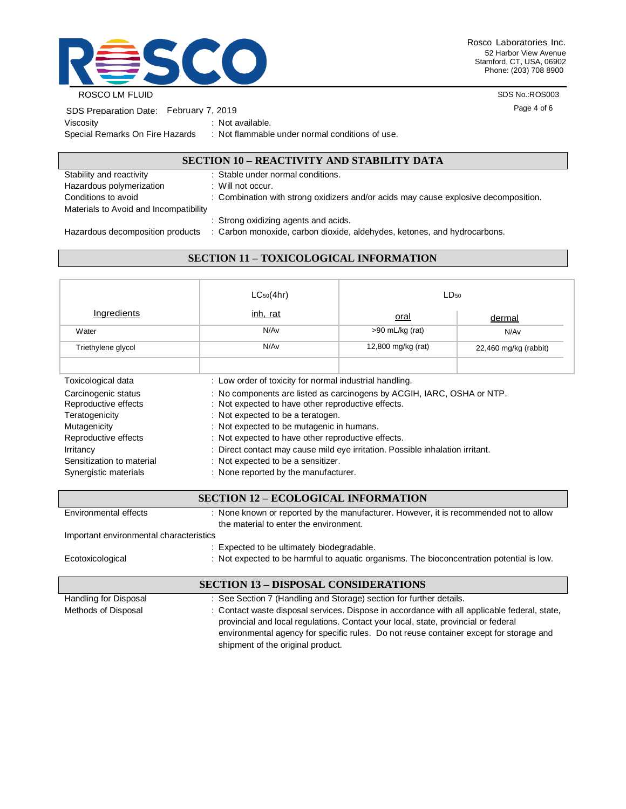

Rosco Laboratories Inc. 52 Harbor View Avenue Stamford, CT, USA, 06902 Phone: (203) 708 8900

ROSCO LM FLUID

SDS No.:ROS003

Page 4 of 6

| SDS Preparation Date: February 7, 2019 |  |                      |
|----------------------------------------|--|----------------------|
| Viscositv                              |  | : Not available.     |
| Special Remarks On Fire Hazards        |  | : Not flammable unde |

er normal conditions of use.

# **SECTION 10 – REACTIVITY AND STABILITY DATA**

| Stability and reactivity               | : Stable under normal conditions.                                                   |
|----------------------------------------|-------------------------------------------------------------------------------------|
| Hazardous polymerization               | : Will not occur.                                                                   |
| Conditions to avoid                    | : Combination with strong oxidizers and/or acids may cause explosive decomposition. |
| Materials to Avoid and Incompatibility |                                                                                     |
|                                        | : Strong oxidizing agents and acids.                                                |
| Hazardous decomposition products       | : Carbon monoxide, carbon dioxide, aldehydes, ketones, and hydrocarbons.            |

# **SECTION 11 – TOXICOLOGICAL INFORMATION**

|                                             | $LC_{50}(4hr)$                                                                                                               | $LD_{50}$             |                         |  |  |
|---------------------------------------------|------------------------------------------------------------------------------------------------------------------------------|-----------------------|-------------------------|--|--|
| Ingredients                                 | inh, rat                                                                                                                     | <u>oral</u><br>dermal |                         |  |  |
| Water                                       | N/Av                                                                                                                         | $>90$ mL/kg (rat)     | N/Av                    |  |  |
| Triethylene glycol                          | N/Av                                                                                                                         | 12,800 mg/kg (rat)    | $22,460$ mg/kg (rabbit) |  |  |
|                                             |                                                                                                                              |                       |                         |  |  |
| Toxicological data                          | : Low order of toxicity for normal industrial handling.                                                                      |                       |                         |  |  |
| Carcinogenic status<br>Reproductive effects | : No components are listed as carcinogens by ACGIH, IARC, OSHA or NTP.<br>: Not expected to have other reproductive effects. |                       |                         |  |  |
| Teratogenicity                              | : Not expected to be a teratogen.                                                                                            |                       |                         |  |  |
| Mutagenicity                                | : Not expected to be mutagenic in humans.                                                                                    |                       |                         |  |  |
| Reproductive effects                        | : Not expected to have other reproductive effects.                                                                           |                       |                         |  |  |
| Irritancy                                   | : Direct contact may cause mild eye irritation. Possible inhalation irritant.                                                |                       |                         |  |  |
| Sensitization to material                   | : Not expected to be a sensitizer.                                                                                           |                       |                         |  |  |
| Synergistic materials                       | : None reported by the manufacturer.                                                                                         |                       |                         |  |  |

| <b>SECTION 12 - ECOLOGICAL INFORMATION</b>  |                                                                                                                                                                                                                                                                              |  |  |  |
|---------------------------------------------|------------------------------------------------------------------------------------------------------------------------------------------------------------------------------------------------------------------------------------------------------------------------------|--|--|--|
| Environmental effects                       | : None known or reported by the manufacturer. However, it is recommended not to allow<br>the material to enter the environment.                                                                                                                                              |  |  |  |
| Important environmental characteristics     |                                                                                                                                                                                                                                                                              |  |  |  |
|                                             | : Expected to be ultimately biodegradable.                                                                                                                                                                                                                                   |  |  |  |
| Ecotoxicological                            | : Not expected to be harmful to aquatic organisms. The bioconcentration potential is low.                                                                                                                                                                                    |  |  |  |
| <b>SECTION 13 – DISPOSAL CONSIDERATIONS</b> |                                                                                                                                                                                                                                                                              |  |  |  |
| Handling for Disposal                       | : See Section 7 (Handling and Storage) section for further details.                                                                                                                                                                                                          |  |  |  |
| Methods of Disposal                         | : Contact waste disposal services. Dispose in accordance with all applicable federal, state,<br>provincial and local regulations. Contact your local, state, provincial or federal<br>environmental agency for specific rules. Do not reuse container except for storage and |  |  |  |

shipment of the original product.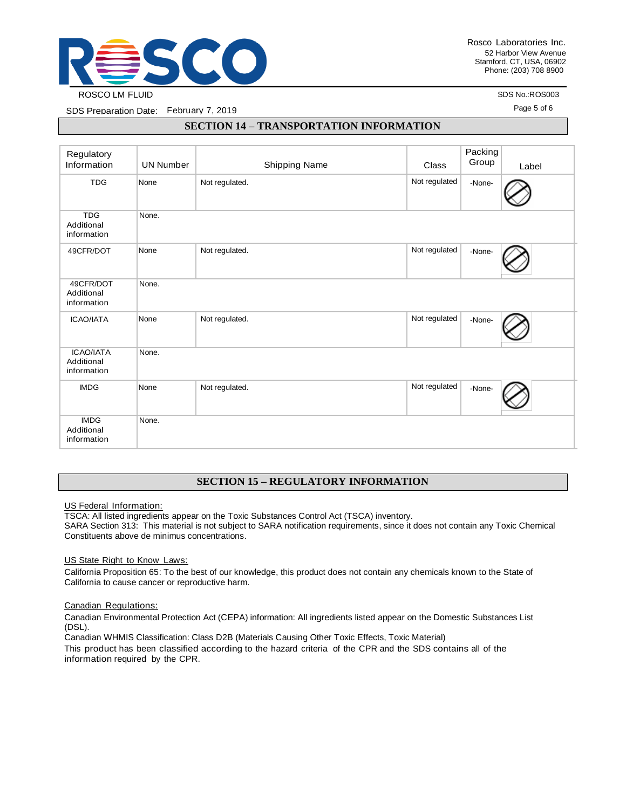

SDS No.:ROS003

Page 5 of 6

SDS Preparation Date: February 7, 2019

### **SECTION 14 – TRANSPORTATION INFORMATION**

| Regulatory<br>Information                     | <b>UN Number</b> | Shipping Name  | Class         | Packing<br>Group | Label |
|-----------------------------------------------|------------------|----------------|---------------|------------------|-------|
| <b>TDG</b>                                    | None             | Not regulated. | Not regulated | -None-           |       |
| <b>TDG</b><br>Additional<br>information       | None.            |                |               |                  |       |
| 49CFR/DOT                                     | None             | Not regulated. | Not regulated | -None-           |       |
| 49CFR/DOT<br>Additional<br>information        | None.            |                |               |                  |       |
| <b>ICAO/IATA</b>                              | None             | Not regulated. | Not regulated | -None-           |       |
| <b>ICAO/IATA</b><br>Additional<br>information | None.            |                |               |                  |       |
| <b>IMDG</b>                                   | None             | Not regulated. | Not regulated | -None-           |       |
| <b>IMDG</b><br>Additional<br>information      | None.            |                |               |                  |       |

## **SECTION 15 – REGULATORY INFORMATION**

US Federal Information:

TSCA: All listed ingredients appear on the Toxic Substances Control Act (TSCA) inventory.

SARA Section 313: This material is not subject to SARA notification requirements, since it does not contain any Toxic Chemical Constituents above de minimus concentrations.

US State Right to Know Laws:

California Proposition 65: To the best of our knowledge, this product does not contain any chemicals known to the State of California to cause cancer or reproductive harm.

#### Canadian Regulations:

Canadian Environmental Protection Act (CEPA) information: All ingredients listed appear on the Domestic Substances List (DSL).

Canadian WHMIS Classification: Class D2B (Materials Causing Other Toxic Effects, Toxic Material)

This product has been classified according to the hazard criteria of the CPR and the SDS contains all of the information required by the CPR.